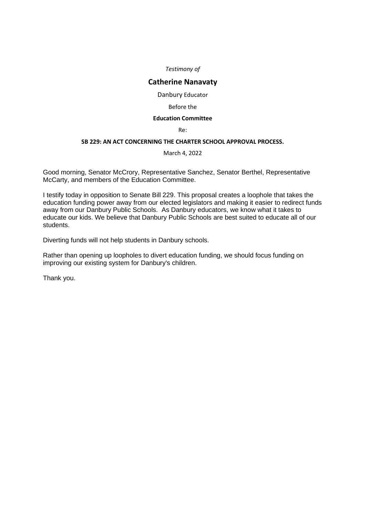*Testimony of*

# **Catherine Nanavaty**

Danbury Educator

# Before the

# **Education Committee**

Re:

# **SB 229: AN ACT CONCERNING THE CHARTER SCHOOL APPROVAL PROCESS.**

March 4, 2022

Good morning, Senator McCrory, Representative Sanchez, Senator Berthel, Representative McCarty, and members of the Education Committee.

I testify today in opposition to Senate Bill 229. This proposal creates a loophole that takes the education funding power away from our elected legislators and making it easier to redirect funds away from our Danbury Public Schools. As Danbury educators, we know what it takes to educate our kids. We believe that Danbury Public Schools are best suited to educate all of our students.

Diverting funds will not help students in Danbury schools.

Rather than opening up loopholes to divert education funding, we should focus funding on improving our existing system for Danbury's children.

Thank you.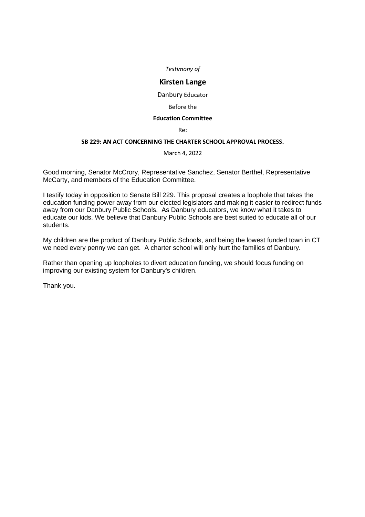*Testimony of*

# **Kirsten Lange**

Danbury Educator

#### Before the

#### **Education Committee**

Re:

# **SB 229: AN ACT CONCERNING THE CHARTER SCHOOL APPROVAL PROCESS.**

March 4, 2022

Good morning, Senator McCrory, Representative Sanchez, Senator Berthel, Representative McCarty, and members of the Education Committee.

I testify today in opposition to Senate Bill 229. This proposal creates a loophole that takes the education funding power away from our elected legislators and making it easier to redirect funds away from our Danbury Public Schools. As Danbury educators, we know what it takes to educate our kids. We believe that Danbury Public Schools are best suited to educate all of our students.

My children are the product of Danbury Public Schools, and being the lowest funded town in CT we need every penny we can get. A charter school will only hurt the families of Danbury.

Rather than opening up loopholes to divert education funding, we should focus funding on improving our existing system for Danbury's children.

Thank you.